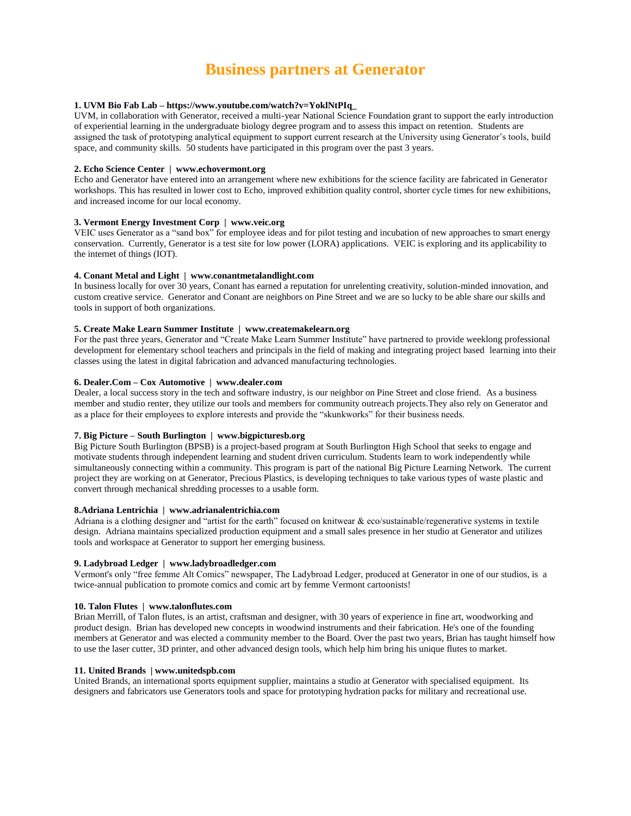# **Business partners at Generator**

# **1. UVM Bio Fab Lab – https://www.youtube.com/watch?v=YoklNtPIq\_**

UVM, in collaboration with Generator, received a multi-year National Science Foundation grant to support the early introduction of experiential learning in the undergraduate biology degree program and to assess this impact on retention. Students are assigned the task of prototyping analytical equipment to support current research at the University using Generator's tools, build space, and community skills. 50 students have participated in this program over the past 3 years.

# **2. Echo Science Center | www.echovermont.org**

Echo and Generator have entered into an arrangement where new exhibitions for the science facility are fabricated in Generator workshops. This has resulted in lower cost to Echo, improved exhibition quality control, shorter cycle times for new exhibitions, and increased income for our local economy.

## **3. Vermont Energy Investment Corp | www.veic.org**

VEIC uses Generator as a "sand box" for employee ideas and for pilot testing and incubation of new approaches to smart energy conservation. Currently, Generator is a test site for low power (LORA) applications. VEIC is exploring and its applicability to the internet of things (IOT).

## **4. Conant Metal and Light | www.conantmetalandlight.com**

In business locally for over 30 years, Conant has earned a reputation for unrelenting creativity, solution-minded innovation, and custom creative service. Generator and Conant are neighbors on Pine Street and we are so lucky to be able share our skills and tools in support of both organizations.

## **5. Create Make Learn Summer Institute | www.createmakelearn.org**

For the past three years, Generator and "Create Make Learn Summer Institute" have partnered to provide weeklong professional development for elementary school teachers and principals in the field of making and integrating project based learning into their classes using the latest in digital fabrication and advanced manufacturing technologies.

# **6. Dealer.Com – Cox Automotive | www.dealer.com**

Dealer, a local success story in the tech and software industry, is our neighbor on Pine Street and close friend. As a business member and studio renter, they utilize our tools and members for community outreach projects.They also rely on Generator and as a place for their employees to explore interests and provide the "skunkworks" for their business needs.

# **7. Big Picture – South Burlington | www.bigpicturesb.org**

Big Picture South Burlington (BPSB) is a project-based program at South Burlington High School that seeks to engage and motivate students through independent learning and student driven curriculum. Students learn to work independently while simultaneously connecting within a community. This program is part of the national Big Picture Learning Network. The current project they are working on at Generator, Precious Plastics, is developing techniques to take various types of waste plastic and convert through mechanical shredding processes to a usable form.

# **8.Adriana Lentrichia | www.adrianalentrichia.com**

Adriana is a clothing designer and "artist for the earth" focused on knitwear & eco/sustainable/regenerative systems in textile design. Adriana maintains specialized production equipment and a small sales presence in her studio at Generator and utilizes tools and workspace at Generator to support her emerging business.

## **9. Ladybroad Ledger | www.ladybroadledger.com**

Vermont's only "free femme Alt Comics" newspaper, The Ladybroad Ledger, produced at Generator in one of our studios, is a twice-annual publication to promote comics and comic art by femme Vermont cartoonists!

## **10. Talon Flutes | www.talonflutes.com**

Brian Merrill, of Talon flutes, is an artist, craftsman and designer, with 30 years of experience in fine art, woodworking and product design. Brian has developed new concepts in woodwind instruments and their fabrication. He's one of the founding members at Generator and was elected a community member to the Board. Over the past two years, Brian has taught himself how to use the laser cutter, 3D printer, and other advanced design tools, which help him bring his unique flutes to market.

## **11. United Brands | www.unitedspb.com**

United Brands, an international sports equipment supplier, maintains a studio at Generator with specialised equipment. Its designers and fabricators use Generators tools and space for prototyping hydration packs for military and recreational use.